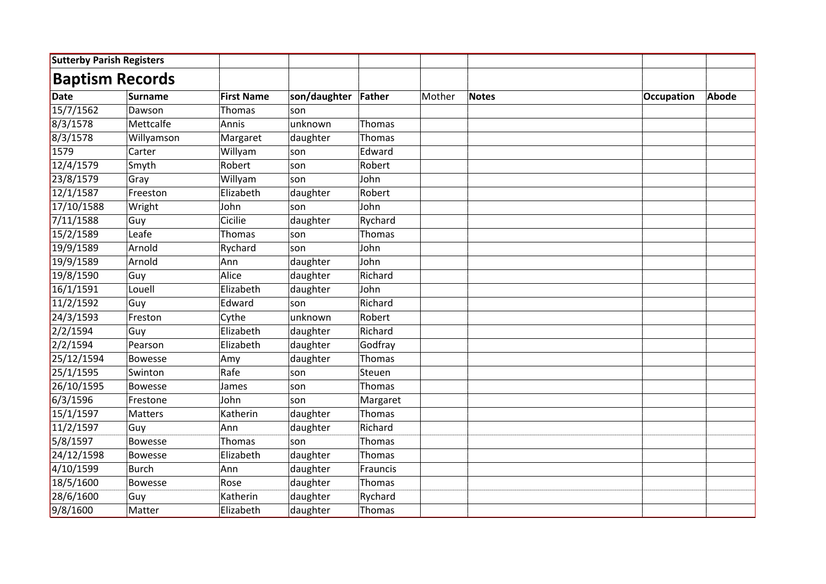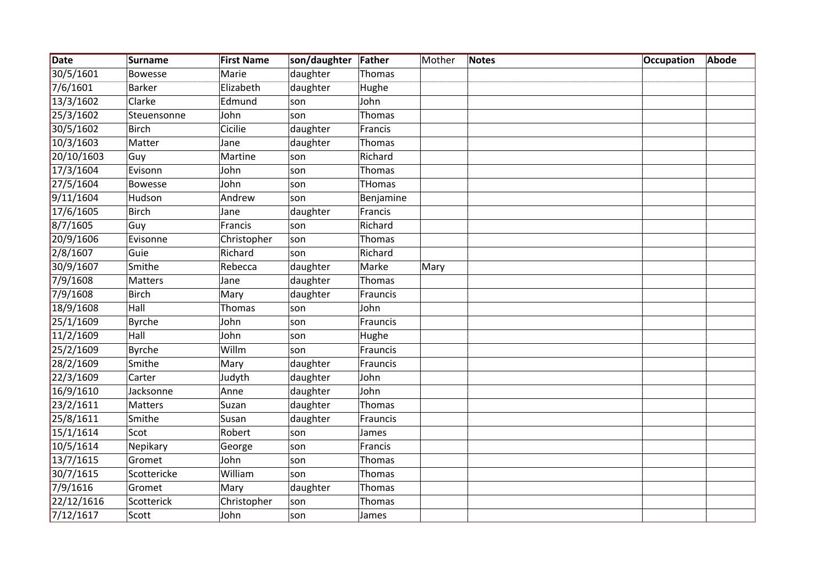| Date       | <b>Surname</b> | <b>First Name</b> | son/daughter | Father        | Mother | <b>Notes</b> | <b>Occupation</b> | <b>Abode</b> |
|------------|----------------|-------------------|--------------|---------------|--------|--------------|-------------------|--------------|
| 30/5/1601  | <b>Bowesse</b> | Marie             | daughter     | Thomas        |        |              |                   |              |
| 7/6/1601   | <b>Barker</b>  | Elizabeth         | daughter     | Hughe         |        |              |                   |              |
| 13/3/1602  | Clarke         | Edmund            | son          | John          |        |              |                   |              |
| 25/3/1602  | Steuensonne    | John              | son          | Thomas        |        |              |                   |              |
| 30/5/1602  | Birch          | Cicilie           | daughter     | Francis       |        |              |                   |              |
| 10/3/1603  | Matter         | Jane              | daughter     | Thomas        |        |              |                   |              |
| 20/10/1603 | Guy            | Martine           | son          | Richard       |        |              |                   |              |
| 17/3/1604  | Evisonn        | John              | son          | Thomas        |        |              |                   |              |
| 27/5/1604  | Bowesse        | John              | son          | <b>THomas</b> |        |              |                   |              |
| 9/11/1604  | Hudson         | Andrew            | son          | Benjamine     |        |              |                   |              |
| 17/6/1605  | <b>Birch</b>   | Jane              | daughter     | Francis       |        |              |                   |              |
| 8/7/1605   | Guy            | Francis           | son          | Richard       |        |              |                   |              |
| 20/9/1606  | Evisonne       | Christopher       | son          | Thomas        |        |              |                   |              |
| 2/8/1607   | Guie           | Richard           | son          | Richard       |        |              |                   |              |
| 30/9/1607  | Smithe         | Rebecca           | daughter     | Marke         | Mary   |              |                   |              |
| 7/9/1608   | Matters        | Jane              | daughter     | Thomas        |        |              |                   |              |
| 7/9/1608   | <b>Birch</b>   | Mary              | daughter     | Frauncis      |        |              |                   |              |
| 18/9/1608  | Hall           | Thomas            | son          | John          |        |              |                   |              |
| 25/1/1609  | <b>Byrche</b>  | John              | son          | Frauncis      |        |              |                   |              |
| 11/2/1609  | Hall           | John              | son          | Hughe         |        |              |                   |              |
| 25/2/1609  | <b>Byrche</b>  | Willm             | son          | Frauncis      |        |              |                   |              |
| 28/2/1609  | Smithe         | Mary              | daughter     | Frauncis      |        |              |                   |              |
| 22/3/1609  | Carter         | Judyth            | daughter     | John          |        |              |                   |              |
| 16/9/1610  | Jacksonne      | Anne              | daughter     | John          |        |              |                   |              |
| 23/2/1611  | <b>Matters</b> | Suzan             | daughter     | Thomas        |        |              |                   |              |
| 25/8/1611  | Smithe         | Susan             | daughter     | Frauncis      |        |              |                   |              |
| 15/1/1614  | Scot           | Robert            | son          | James         |        |              |                   |              |
| 10/5/1614  | Nepikary       | George            | son          | Francis       |        |              |                   |              |
| 13/7/1615  | Gromet         | John              | son          | Thomas        |        |              |                   |              |
| 30/7/1615  | Scottericke    | William           | son          | Thomas        |        |              |                   |              |
| 7/9/1616   | Gromet         | Mary              | daughter     | Thomas        |        |              |                   |              |
| 22/12/1616 | Scotterick     | Christopher       | son          | Thomas        |        |              |                   |              |
| 7/12/1617  | Scott          | John              | son          | James         |        |              |                   |              |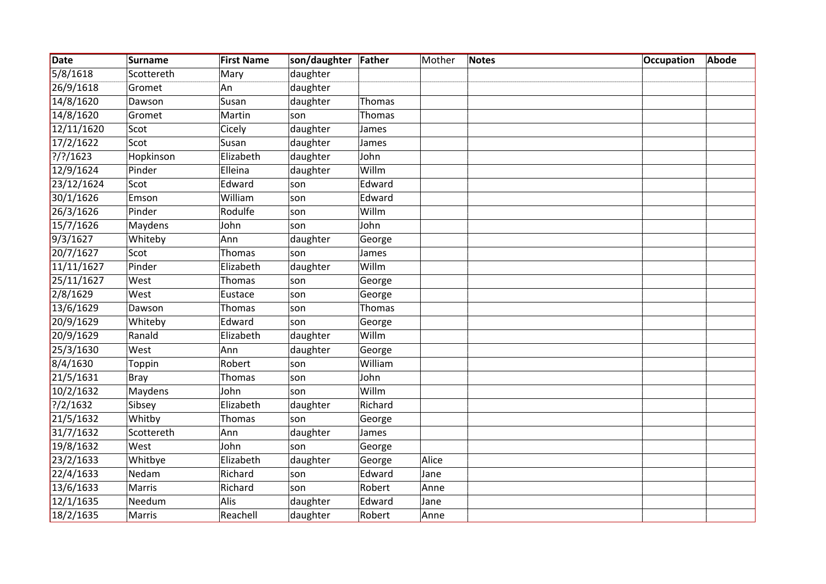| Date         | <b>Surname</b> | <b>First Name</b> | son/daughter | Father  | Mother | <b>Notes</b> | <b>Occupation</b> | <b>Abode</b> |
|--------------|----------------|-------------------|--------------|---------|--------|--------------|-------------------|--------------|
| 5/8/1618     | Scottereth     | Mary              | daughter     |         |        |              |                   |              |
| 26/9/1618    | Gromet         | An                | daughter     |         |        |              |                   |              |
| 14/8/1620    | Dawson         | Susan             | daughter     | Thomas  |        |              |                   |              |
| 14/8/1620    | Gromet         | Martin            | son          | Thomas  |        |              |                   |              |
| 12/11/1620   | Scot           | Cicely            | daughter     | James   |        |              |                   |              |
| 17/2/1622    | Scot           | Susan             | daughter     | James   |        |              |                   |              |
| $?$ /?/1623  | Hopkinson      | Elizabeth         | daughter     | John    |        |              |                   |              |
| 12/9/1624    | Pinder         | Elleina           | daughter     | Willm   |        |              |                   |              |
| 23/12/1624   | Scot           | Edward            | son          | Edward  |        |              |                   |              |
| 30/1/1626    | Emson          | William           | son          | Edward  |        |              |                   |              |
| 26/3/1626    | Pinder         | Rodulfe           | son          | Willm   |        |              |                   |              |
| 15/7/1626    | Maydens        | John              | son          | John    |        |              |                   |              |
| 9/3/1627     | Whiteby        | Ann               | daughter     | George  |        |              |                   |              |
| 20/7/1627    | Scot           | Thomas            | son          | James   |        |              |                   |              |
| 11/11/1627   | Pinder         | Elizabeth         | daughter     | Willm   |        |              |                   |              |
| 25/11/1627   | West           | Thomas            | son          | George  |        |              |                   |              |
| 2/8/1629     | West           | Eustace           | son          | George  |        |              |                   |              |
| 13/6/1629    | Dawson         | Thomas            | son          | Thomas  |        |              |                   |              |
| 20/9/1629    | Whiteby        | Edward            | son          | George  |        |              |                   |              |
| 20/9/1629    | Ranald         | Elizabeth         | daughter     | Willm   |        |              |                   |              |
| 25/3/1630    | West           | Ann               | daughter     | George  |        |              |                   |              |
| 8/4/1630     | Toppin         | Robert            | son          | William |        |              |                   |              |
| 21/5/1631    | Bray           | Thomas            | son          | John    |        |              |                   |              |
| 10/2/1632    | Maydens        | John              | son          | Willm   |        |              |                   |              |
| ? / 2 / 1632 | Sibsey         | Elizabeth         | daughter     | Richard |        |              |                   |              |
| 21/5/1632    | Whitby         | <b>Thomas</b>     | son          | George  |        |              |                   |              |
| 31/7/1632    | Scottereth     | Ann               | daughter     | James   |        |              |                   |              |
| 19/8/1632    | West           | John              | son          | George  |        |              |                   |              |
| 23/2/1633    | Whitbye        | Elizabeth         | daughter     | George  | Alice  |              |                   |              |
| 22/4/1633    | Nedam          | Richard           | son          | Edward  | Jane   |              |                   |              |
| 13/6/1633    | Marris         | Richard           | son          | Robert  | Anne   |              |                   |              |
| 12/1/1635    | Needum         | Alis              | daughter     | Edward  | Jane   |              |                   |              |
| 18/2/1635    | Marris         | Reachell          | daughter     | Robert  | Anne   |              |                   |              |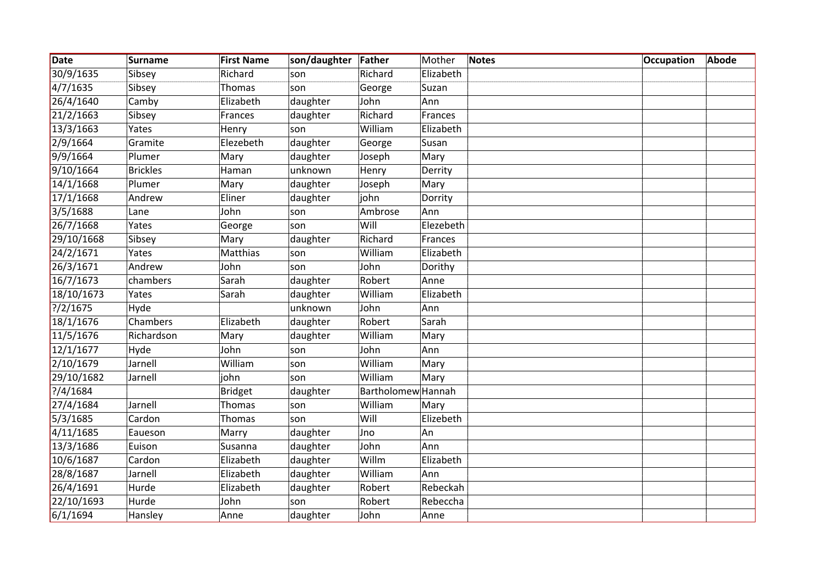| Date         | <b>Surname</b>  | <b>First Name</b> | son/daughter | Father                    | Mother    | <b>Notes</b> | <b>Occupation</b> | Abode |
|--------------|-----------------|-------------------|--------------|---------------------------|-----------|--------------|-------------------|-------|
| 30/9/1635    | Sibsey          | Richard           | son          | Richard                   | Elizabeth |              |                   |       |
| 4/7/1635     | Sibsey          | Thomas            | son          | George                    | Suzan     |              |                   |       |
| 26/4/1640    | Camby           | Elizabeth         | daughter     | John                      | Ann       |              |                   |       |
| 21/2/1663    | Sibsey          | Frances           | daughter     | Richard                   | Frances   |              |                   |       |
| 13/3/1663    | Yates           | Henry             | son          | William                   | Elizabeth |              |                   |       |
| 2/9/1664     | Gramite         | Elezebeth         | daughter     | George                    | Susan     |              |                   |       |
| 9/9/1664     | Plumer          | Mary              | daughter     | Joseph                    | Mary      |              |                   |       |
| 9/10/1664    | <b>Brickles</b> | Haman             | unknown      | Henry                     | Derrity   |              |                   |       |
| 14/1/1668    | Plumer          | Mary              | daughter     | Joseph                    | Mary      |              |                   |       |
| 17/1/1668    | Andrew          | Eliner            | daughter     | john                      | Dorrity   |              |                   |       |
| 3/5/1688     | Lane            | John              | son          | Ambrose                   | Ann       |              |                   |       |
| 26/7/1668    | Yates           | George            | son          | Will                      | Elezebeth |              |                   |       |
| 29/10/1668   | Sibsey          | Mary              | daughter     | Richard                   | Frances   |              |                   |       |
| 24/2/1671    | Yates           | Matthias          | son          | William                   | Elizabeth |              |                   |       |
| 26/3/1671    | Andrew          | John              | son          | John                      | Dorithy   |              |                   |       |
| 16/7/1673    | chambers        | Sarah             | daughter     | Robert                    | Anne      |              |                   |       |
| 18/10/1673   | Yates           | Sarah             | daughter     | William                   | Elizabeth |              |                   |       |
| ? / 2 / 1675 | Hyde            |                   | unknown      | John                      | Ann       |              |                   |       |
| 18/1/1676    | Chambers        | Elizabeth         | daughter     | Robert                    | Sarah     |              |                   |       |
| 11/5/1676    | Richardson      | Mary              | daughter     | William                   | Mary      |              |                   |       |
| 12/1/1677    | Hyde            | John              | son          | John                      | Ann       |              |                   |       |
| 2/10/1679    | Jarnell         | William           | son          | William                   | Mary      |              |                   |       |
| 29/10/1682   | Jarnell         | john              | son          | William                   | Mary      |              |                   |       |
| ? / 4 / 1684 |                 | <b>Bridget</b>    | daughter     | <b>Bartholomew</b> Hannah |           |              |                   |       |
| 27/4/1684    | Jarnell         | Thomas            | son          | William                   | Mary      |              |                   |       |
| 5/3/1685     | Cardon          | Thomas            | son          | Will                      | Elizebeth |              |                   |       |
| 4/11/1685    | Eaueson         | Marry             | daughter     | Jno                       | An        |              |                   |       |
| 13/3/1686    | Euison          | Susanna           | daughter     | John                      | Ann       |              |                   |       |
| 10/6/1687    | Cardon          | Elizabeth         | daughter     | Willm                     | Elizabeth |              |                   |       |
| 28/8/1687    | Jarnell         | Elizabeth         | daughter     | William                   | Ann       |              |                   |       |
| 26/4/1691    | Hurde           | Elizabeth         | daughter     | Robert                    | Rebeckah  |              |                   |       |
| 22/10/1693   | Hurde           | John              | son          | Robert                    | Rebeccha  |              |                   |       |
| 6/1/1694     | Hansley         | Anne              | daughter     | John                      | Anne      |              |                   |       |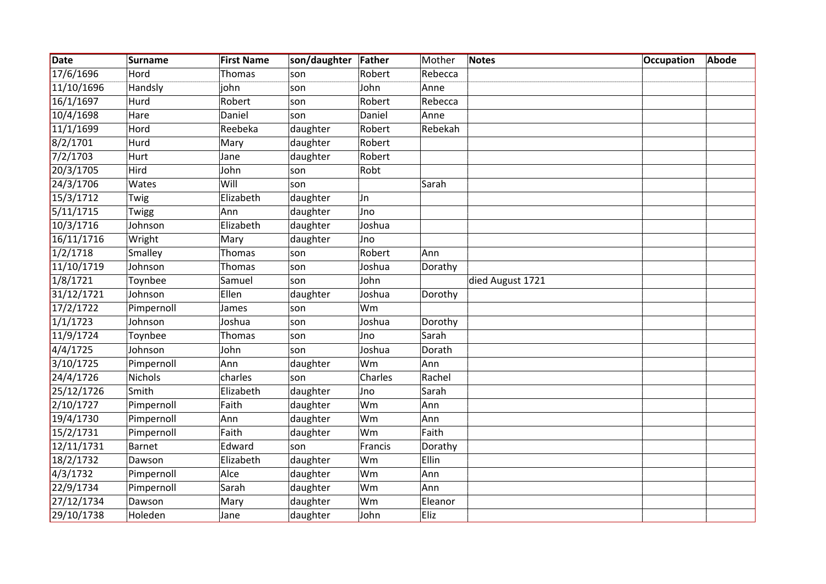| Date       | <b>Surname</b> | <b>First Name</b> | son/daughter | Father  | Mother  | <b>Notes</b>     | <b>Occupation</b> | <b>Abode</b> |
|------------|----------------|-------------------|--------------|---------|---------|------------------|-------------------|--------------|
| 17/6/1696  | Hord           | Thomas            | son          | Robert  | Rebecca |                  |                   |              |
| 11/10/1696 | Handsly        | john              | son          | John    | Anne    |                  |                   |              |
| 16/1/1697  | Hurd           | Robert            | son          | Robert  | Rebecca |                  |                   |              |
| 10/4/1698  | Hare           | Daniel            | son          | Daniel  | Anne    |                  |                   |              |
| 11/1/1699  | Hord           | Reebeka           | daughter     | Robert  | Rebekah |                  |                   |              |
| 8/2/1701   | Hurd           | Mary              | daughter     | Robert  |         |                  |                   |              |
| 7/2/1703   | Hurt           | Jane              | daughter     | Robert  |         |                  |                   |              |
| 20/3/1705  | Hird           | John              | son          | Robt    |         |                  |                   |              |
| 24/3/1706  | Wates          | Will              | son          |         | Sarah   |                  |                   |              |
| 15/3/1712  | Twig           | Elizabeth         | daughter     | IJn     |         |                  |                   |              |
| 5/11/1715  | Twigg          | Ann               | daughter     | Jno     |         |                  |                   |              |
| 10/3/1716  | Johnson        | Elizabeth         | daughter     | Joshua  |         |                  |                   |              |
| 16/11/1716 | Wright         | Mary              | daughter     | Jno     |         |                  |                   |              |
| 1/2/1718   | Smalley        | Thomas            | son          | Robert  | Ann     |                  |                   |              |
| 11/10/1719 | Johnson        | <b>Thomas</b>     | son          | Joshua  | Dorathy |                  |                   |              |
| 1/8/1721   | Toynbee        | Samuel            | son          | John    |         | died August 1721 |                   |              |
| 31/12/1721 | Johnson        | Ellen             | daughter     | Joshua  | Dorothy |                  |                   |              |
| 17/2/1722  | Pimpernoll     | James             | son          | Wm      |         |                  |                   |              |
| 1/1/1723   | Johnson        | Joshua            | son          | Joshua  | Dorothy |                  |                   |              |
| 11/9/1724  | Toynbee        | <b>Thomas</b>     | son          | Jno     | Sarah   |                  |                   |              |
| 4/4/1725   | Johnson        | John              | son          | Joshua  | Dorath  |                  |                   |              |
| 3/10/1725  | Pimpernoll     | Ann               | daughter     | Wm      | Ann     |                  |                   |              |
| 24/4/1726  | Nichols        | charles           | son          | Charles | Rachel  |                  |                   |              |
| 25/12/1726 | Smith          | Elizabeth         | daughter     | Jno     | Sarah   |                  |                   |              |
| 2/10/1727  | Pimpernoll     | Faith             | daughter     | Wm      | Ann     |                  |                   |              |
| 19/4/1730  | Pimpernoll     | Ann               | daughter     | Wm      | Ann     |                  |                   |              |
| 15/2/1731  | Pimpernoll     | Faith             | daughter     | Wm      | Faith   |                  |                   |              |
| 12/11/1731 | Barnet         | Edward            | son          | Francis | Dorathy |                  |                   |              |
| 18/2/1732  | Dawson         | Elizabeth         | daughter     | Wm      | Ellin   |                  |                   |              |
| 4/3/1732   | Pimpernoll     | Alce              | daughter     | Wm      | Ann     |                  |                   |              |
| 22/9/1734  | Pimpernoll     | Sarah             | daughter     | Wm      | Ann     |                  |                   |              |
| 27/12/1734 | Dawson         | Mary              | daughter     | Wm      | Eleanor |                  |                   |              |
| 29/10/1738 | Holeden        | Jane              | daughter     | John    | Eliz    |                  |                   |              |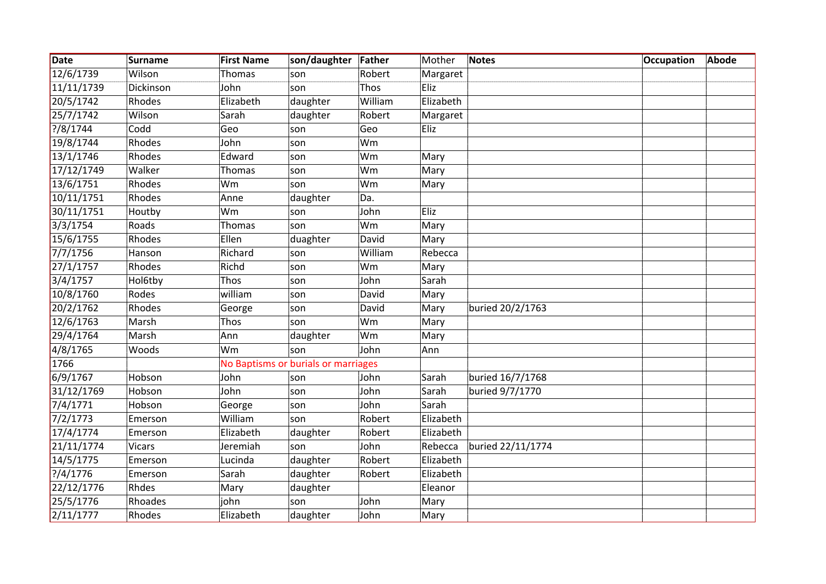| Date         | <b>Surname</b> | <b>First Name</b> | son/daughter                        | Father  | Mother    | <b>Notes</b>      | <b>Occupation</b> | Abode |
|--------------|----------------|-------------------|-------------------------------------|---------|-----------|-------------------|-------------------|-------|
| 12/6/1739    | Wilson         | Thomas            | son                                 | Robert  | Margaret  |                   |                   |       |
| 11/11/1739   | Dickinson      | John              | son                                 | Thos    | Eliz      |                   |                   |       |
| 20/5/1742    | Rhodes         | Elizabeth         | daughter                            | William | Elizabeth |                   |                   |       |
| 25/7/1742    | Wilson         | Sarah             | daughter                            | Robert  | Margaret  |                   |                   |       |
| ?/8/1744     | Codd           | Geo               | son                                 | Geo     | Eliz      |                   |                   |       |
| 19/8/1744    | Rhodes         | John              | son                                 | Wm      |           |                   |                   |       |
| 13/1/1746    | Rhodes         | Edward            | son                                 | Wm      | Mary      |                   |                   |       |
| 17/12/1749   | Walker         | <b>Thomas</b>     | son                                 | Wm      | Mary      |                   |                   |       |
| 13/6/1751    | Rhodes         | Wm                | son                                 | Wm      | Mary      |                   |                   |       |
| 10/11/1751   | Rhodes         | Anne              | daughter                            | Da.     |           |                   |                   |       |
| 30/11/1751   | Houtby         | Wm                | son                                 | John    | Eliz      |                   |                   |       |
| 3/3/1754     | Roads          | <b>Thomas</b>     | son                                 | Wm      | Mary      |                   |                   |       |
| 15/6/1755    | Rhodes         | Ellen             | duaghter                            | David   | Mary      |                   |                   |       |
| 7/7/1756     | Hanson         | Richard           | son                                 | William | Rebecca   |                   |                   |       |
| 27/1/1757    | Rhodes         | Richd             | son                                 | Wm      | Mary      |                   |                   |       |
| 3/4/1757     | Hol6tby        | Thos              | son                                 | John    | Sarah     |                   |                   |       |
| 10/8/1760    | Rodes          | william           | son                                 | David   | Mary      |                   |                   |       |
| 20/2/1762    | Rhodes         | George            | son                                 | David   | Mary      | buried 20/2/1763  |                   |       |
| 12/6/1763    | Marsh          | Thos              | son                                 | Wm      | Mary      |                   |                   |       |
| 29/4/1764    | Marsh          | Ann               | daughter                            | Wm      | Mary      |                   |                   |       |
| 4/8/1765     | Woods          | Wm                | son                                 | John    | Ann       |                   |                   |       |
| 1766         |                |                   | No Baptisms or burials or marriages |         |           |                   |                   |       |
| 6/9/1767     | Hobson         | John              | son                                 | John    | Sarah     | buried 16/7/1768  |                   |       |
| 31/12/1769   | Hobson         | John              | son                                 | John    | Sarah     | buried 9/7/1770   |                   |       |
| 7/4/1771     | Hobson         | George            | son                                 | John    | Sarah     |                   |                   |       |
| 7/2/1773     | Emerson        | William           | son                                 | Robert  | Elizabeth |                   |                   |       |
| 17/4/1774    | Emerson        | Elizabeth         | daughter                            | Robert  | Elizabeth |                   |                   |       |
| 21/11/1774   | <b>Vicars</b>  | Jeremiah          | son                                 | John    | Rebecca   | buried 22/11/1774 |                   |       |
| 14/5/1775    | Emerson        | Lucinda           | daughter                            | Robert  | Elizabeth |                   |                   |       |
| ? / 4 / 1776 | Emerson        | Sarah             | daughter                            | Robert  | Elizabeth |                   |                   |       |
| 22/12/1776   | Rhdes          | Mary              | daughter                            |         | Eleanor   |                   |                   |       |
| 25/5/1776    | Rhoades        | john              | son                                 | John    | Mary      |                   |                   |       |
| 2/11/1777    | Rhodes         | Elizabeth         | daughter                            | John    | Mary      |                   |                   |       |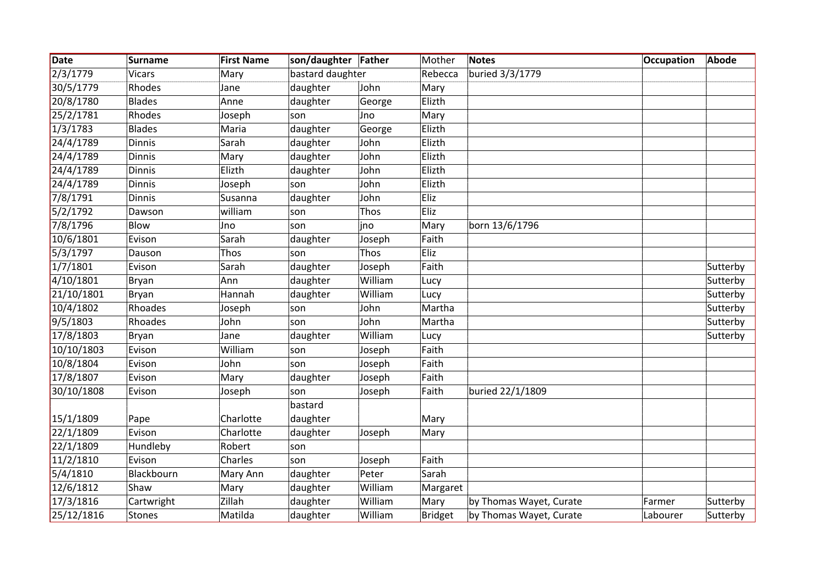| Date       | Surname       | <b>First Name</b> | son/daughter Father |         | Mother   | <b>Notes</b>            | <b>Occupation</b> | Abode    |
|------------|---------------|-------------------|---------------------|---------|----------|-------------------------|-------------------|----------|
| 2/3/1779   | <b>Vicars</b> | Mary              | bastard daughter    |         | Rebecca  | buried 3/3/1779         |                   |          |
| 30/5/1779  | Rhodes        | Jane              | daughter            | John    | Mary     |                         |                   |          |
| 20/8/1780  | <b>Blades</b> | Anne              | daughter            | George  | Elizth   |                         |                   |          |
| 25/2/1781  | Rhodes        | Joseph            | son                 | Jno     | Mary     |                         |                   |          |
| 1/3/1783   | <b>Blades</b> | Maria             | daughter            | George  | Elizth   |                         |                   |          |
| 24/4/1789  | <b>Dinnis</b> | Sarah             | daughter            | John    | Elizth   |                         |                   |          |
| 24/4/1789  | <b>Dinnis</b> | Mary              | daughter            | John    | Elizth   |                         |                   |          |
| 24/4/1789  | <b>Dinnis</b> | Elizth            | daughter            | John    | Elizth   |                         |                   |          |
| 24/4/1789  | <b>Dinnis</b> | Joseph            | son                 | John    | Elizth   |                         |                   |          |
| 7/8/1791   | <b>Dinnis</b> | Susanna           | daughter            | John    | Eliz     |                         |                   |          |
| 5/2/1792   | Dawson        | william           | son                 | Thos    | Eliz     |                         |                   |          |
| 7/8/1796   | Blow          | Jno               | son                 | ino     | Mary     | born 13/6/1796          |                   |          |
| 10/6/1801  | Evison        | Sarah             | daughter            | Joseph  | Faith    |                         |                   |          |
| 5/3/1797   | Dauson        | Thos              | son                 | Thos    | Eliz     |                         |                   |          |
| 1/7/1801   | Evison        | Sarah             | daughter            | Joseph  | Faith    |                         |                   | Sutterby |
| 4/10/1801  | Bryan         | Ann               | daughter            | William | Lucy     |                         |                   | Sutterby |
| 21/10/1801 | <b>Bryan</b>  | Hannah            | daughter            | William | Lucy     |                         |                   | Sutterby |
| 10/4/1802  | Rhoades       | Joseph            | son                 | John    | Martha   |                         |                   | Sutterby |
| 9/5/1803   | Rhoades       | John              | son                 | John    | Martha   |                         |                   | Sutterby |
| 17/8/1803  | Bryan         | Jane              | daughter            | William | Lucy     |                         |                   | Sutterby |
| 10/10/1803 | Evison        | William           | son                 | Joseph  | Faith    |                         |                   |          |
| 10/8/1804  | Evison        | John              | son                 | Joseph  | Faith    |                         |                   |          |
| 17/8/1807  | Evison        | Mary              | daughter            | Joseph  | Faith    |                         |                   |          |
| 30/10/1808 | Evison        | Joseph            | son                 | Joseph  | Faith    | buried 22/1/1809        |                   |          |
|            |               |                   | bastard             |         |          |                         |                   |          |
| 15/1/1809  | Pape          | Charlotte         | daughter            |         | Mary     |                         |                   |          |
| 22/1/1809  | Evison        | Charlotte         | daughter            | Joseph  | Mary     |                         |                   |          |
| 22/1/1809  | Hundleby      | Robert            | son                 |         |          |                         |                   |          |
| 11/2/1810  | Evison        | Charles           | son                 | Joseph  | Faith    |                         |                   |          |
| 5/4/1810   | Blackbourn    | Mary Ann          | daughter            | Peter   | Sarah    |                         |                   |          |
| 12/6/1812  | Shaw          | Mary              | daughter            | William | Margaret |                         |                   |          |
| 17/3/1816  | Cartwright    | Zillah            | daughter            | William | Mary     | by Thomas Wayet, Curate | Farmer            | Sutterby |
| 25/12/1816 | Stones        | Matilda           | daughter            | William | Bridget  | by Thomas Wayet, Curate | Labourer          | Sutterby |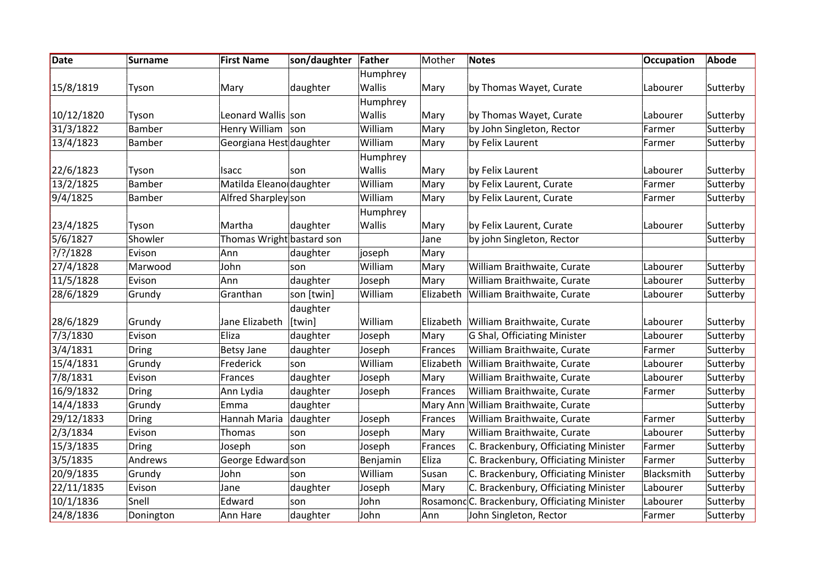| Date        | <b>Surname</b> | <b>First Name</b>         | son/daughter | Father        | Mother    | <b>Notes</b>                                 | Occupation | Abode    |
|-------------|----------------|---------------------------|--------------|---------------|-----------|----------------------------------------------|------------|----------|
|             |                |                           |              | Humphrey      |           |                                              |            |          |
| 15/8/1819   | Tyson          | Mary                      | daughter     | Wallis        | Mary      | by Thomas Wayet, Curate                      | Labourer   | Sutterby |
|             |                |                           |              | Humphrey      |           |                                              |            |          |
| 10/12/1820  | Tyson          | Leonard Wallis son        |              | Wallis        | Mary      | by Thomas Wayet, Curate                      | Labourer   | Sutterby |
| 31/3/1822   | Bamber         | Henry William son         |              | William       | Mary      | by John Singleton, Rector                    | Farmer     | Sutterby |
| 13/4/1823   | <b>Bamber</b>  | Georgiana Hest daughter   |              | William       | Mary      | by Felix Laurent                             | Farmer     | Sutterby |
|             |                |                           |              | Humphrey      |           |                                              |            |          |
| 22/6/1823   | Tyson          | Isacc                     | son          | <b>Wallis</b> | Mary      | by Felix Laurent                             | Labourer   | Sutterby |
| 13/2/1825   | <b>Bamber</b>  | Matilda Eleano daughter   |              | William       | Mary      | by Felix Laurent, Curate                     | Farmer     | Sutterby |
| 9/4/1825    | <b>Bamber</b>  | Alfred Sharpley son       |              | William       | Mary      | by Felix Laurent, Curate                     | Farmer     | Sutterby |
|             |                |                           |              | Humphrey      |           |                                              |            |          |
| 23/4/1825   | Tyson          | Martha                    | daughter     | Wallis        | Mary      | by Felix Laurent, Curate                     | Labourer   | Sutterby |
| 5/6/1827    | Showler        | Thomas Wright bastard son |              |               | Jane      | by john Singleton, Rector                    |            | Sutterby |
| $?$ /?/1828 | Evison         | Ann                       | daughter     | joseph        | Mary      |                                              |            |          |
| 27/4/1828   | Marwood        | John                      | son          | William       | Mary      | William Braithwaite, Curate                  | Labourer   | Sutterby |
| 11/5/1828   | Evison         | Ann                       | daughter     | Joseph        | Mary      | William Braithwaite, Curate                  | Labourer   | Sutterby |
| 28/6/1829   | Grundy         | Granthan                  | son [twin]   | William       | Elizabeth | William Braithwaite, Curate                  | Labourer   | Sutterby |
|             |                |                           | daughter     |               |           |                                              |            |          |
| 28/6/1829   | Grundy         | Jane Elizabeth            | [twin]       | William       | Elizabeth | William Braithwaite, Curate                  | Labourer   | Sutterby |
| 7/3/1830    | Evison         | Eliza                     | daughter     | Joseph        | Mary      | G Shal, Officiating Minister                 | Labourer   | Sutterby |
| 3/4/1831    | <b>Dring</b>   | <b>Betsy Jane</b>         | daughter     | Joseph        | Frances   | William Braithwaite, Curate                  | Farmer     | Sutterby |
| 15/4/1831   | Grundy         | Frederick                 | son          | William       | Elizabeth | William Braithwaite, Curate                  | Labourer   | Sutterby |
| 7/8/1831    | Evison         | Frances                   | daughter     | Joseph        | Mary      | William Braithwaite, Curate                  | Labourer   | Sutterby |
| 16/9/1832   | <b>Dring</b>   | Ann Lydia                 | daughter     | Joseph        | Frances   | William Braithwaite, Curate                  | Farmer     | Sutterby |
| 14/4/1833   | Grundy         | Emma                      | daughter     |               | Mary Ann  | William Braithwaite, Curate                  |            | Sutterby |
| 29/12/1833  | <b>Dring</b>   | Hannah Maria              | daughter     | Joseph        | Frances   | William Braithwaite, Curate                  | Farmer     | Sutterby |
| 2/3/1834    | Evison         | <b>Thomas</b>             | son          | Joseph        | Mary      | William Braithwaite, Curate                  | Labourer   | Sutterby |
| 15/3/1835   | <b>Dring</b>   | Joseph                    | son          | Joseph        | Frances   | C. Brackenbury, Officiating Minister         | Farmer     | Sutterby |
| 3/5/1835    | Andrews        | George Edward son         |              | Benjamin      | Eliza     | C. Brackenbury, Officiating Minister         | Farmer     | Sutterby |
| 20/9/1835   | Grundy         | John                      | son          | William       | Susan     | C. Brackenbury, Officiating Minister         | Blacksmith | Sutterby |
| 22/11/1835  | Evison         | Jane                      | daughter     | Joseph        | Mary      | C. Brackenbury, Officiating Minister         | Labourer   | Sutterby |
| 10/1/1836   | Snell          | Edward                    | son          | John          |           | RosamondC. Brackenbury, Officiating Minister | Labourer   | Sutterby |
| 24/8/1836   | Donington      | Ann Hare                  | daughter     | John          | Ann       | John Singleton, Rector                       | Farmer     | Sutterby |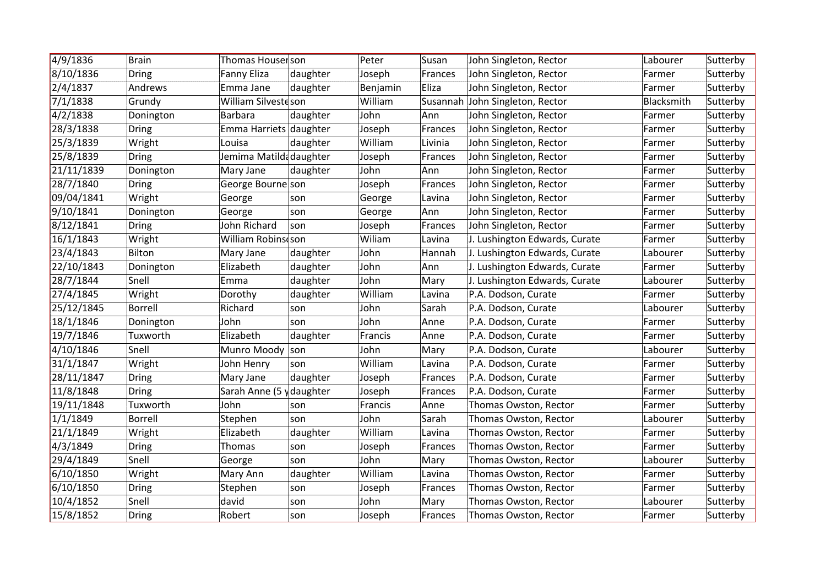| 4/9/1836   | <b>Brain</b>   | Thomas Houserson        |          | Peter    | Susan          | John Singleton, Rector          | Labourer   | Sutterby |
|------------|----------------|-------------------------|----------|----------|----------------|---------------------------------|------------|----------|
| 8/10/1836  | <b>Dring</b>   | <b>Fanny Eliza</b>      | daughter | Joseph   | Frances        | John Singleton, Rector          | Farmer     | Sutterby |
| 2/4/1837   | Andrews        | Emma Jane               | daughter | Benjamin | Eliza          | John Singleton, Rector          | Farmer     | Sutterby |
| 7/1/1838   | Grundy         | William Silvesteson     |          | William  |                | Susannah John Singleton, Rector | Blacksmith | Sutterby |
| 4/2/1838   | Donington      | Barbara                 | daughter | John     | Ann            | John Singleton, Rector          | Farmer     | Sutterby |
| 28/3/1838  | Dring          | Emma Harriets daughter  |          | Joseph   | Frances        | John Singleton, Rector          | Farmer     | Sutterby |
| 25/3/1839  | Wright         | Louisa                  | daughter | William  | Livinia        | John Singleton, Rector          | Farmer     | Sutterby |
| 25/8/1839  | <b>Dring</b>   | Jemima Matildadaughter  |          | Joseph   | Frances        | John Singleton, Rector          | Farmer     | Sutterby |
| 21/11/1839 | Donington      | Mary Jane               | daughter | John     | Ann            | John Singleton, Rector          | Farmer     | Sutterby |
| 28/7/1840  | Dring          | George Bourne son       |          | Joseph   | Frances        | John Singleton, Rector          | Farmer     | Sutterby |
| 09/04/1841 | Wright         | George                  | son      | George   | Lavina         | John Singleton, Rector          | Farmer     | Sutterby |
| 9/10/1841  | Donington      | George                  | son      | George   | Ann            | John Singleton, Rector          | Farmer     | Sutterby |
| 8/12/1841  | Dring          | John Richard            | son      | Joseph   | Frances        | John Singleton, Rector          | Farmer     | Sutterby |
| 16/1/1843  | Wright         | William Robins son      |          | Wiliam   | Lavina         | J. Lushington Edwards, Curate   | Farmer     | Sutterby |
| 23/4/1843  | Bilton         | Mary Jane               | daughter | John     | Hannah         | J. Lushington Edwards, Curate   | Labourer   | Sutterby |
| 22/10/1843 | Donington      | Elizabeth               | daughter | John     | Ann            | J. Lushington Edwards, Curate   | Farmer     | Sutterby |
| 28/7/1844  | Snell          | Emma                    | daughter | John     | Mary           | J. Lushington Edwards, Curate   | Labourer   | Sutterby |
| 27/4/1845  | Wright         | Dorothy                 | daughter | William  | Lavina         | P.A. Dodson, Curate             | Farmer     | Sutterby |
| 25/12/1845 | Borrell        | Richard                 | son      | John     | Sarah          | P.A. Dodson, Curate             | Labourer   | Sutterby |
| 18/1/1846  | Donington      | John                    | son      | John     | Anne           | P.A. Dodson, Curate             | Farmer     | Sutterby |
| 19/7/1846  | Tuxworth       | Elizabeth               | daughter | Francis  | Anne           | P.A. Dodson, Curate             | Farmer     | Sutterby |
| 4/10/1846  | Snell          | Munro Moody             | son      | John     | Mary           | P.A. Dodson, Curate             | Labourer   | Sutterby |
| 31/1/1847  | Wright         | John Henry              | son      | William  | Lavina         | P.A. Dodson, Curate             | Farmer     | Sutterby |
| 28/11/1847 | Dring          | Mary Jane               | daughter | Joseph   | Frances        | P.A. Dodson, Curate             | Farmer     | Sutterby |
| 11/8/1848  | <b>Dring</b>   | Sarah Anne (5 ydaughter |          | Joseph   | Frances        | P.A. Dodson, Curate             | Farmer     | Sutterby |
| 19/11/1848 | Tuxworth       | John                    | son      | Francis  | Anne           | Thomas Owston, Rector           | Farmer     | Sutterby |
| 1/1/1849   | <b>Borrell</b> | Stephen                 | son      | John     | Sarah          | Thomas Owston, Rector           | Labourer   | Sutterby |
| 21/1/1849  | Wright         | Elizabeth               | daughter | William  | Lavina         | Thomas Owston, Rector           | Farmer     | Sutterby |
| 4/3/1849   | Dring          | Thomas                  | son      | Joseph   | <b>Frances</b> | Thomas Owston, Rector           | Farmer     | Sutterby |
| 29/4/1849  | Snell          | George                  | son      | John     | Mary           | Thomas Owston, Rector           | Labourer   | Sutterby |
| 6/10/1850  | Wright         | Mary Ann                | daughter | William  | Lavina         | Thomas Owston, Rector           | Farmer     | Sutterby |
| 6/10/1850  | <b>Dring</b>   | Stephen                 | son      | Joseph   | Frances        | Thomas Owston, Rector           | Farmer     | Sutterby |
| 10/4/1852  | Snell          | david                   | son      | John     | Mary           | Thomas Owston, Rector           | Labourer   | Sutterby |
| 15/8/1852  | Dring          | Robert                  | son      | Joseph   | Frances        | Thomas Owston, Rector           | Farmer     | Sutterby |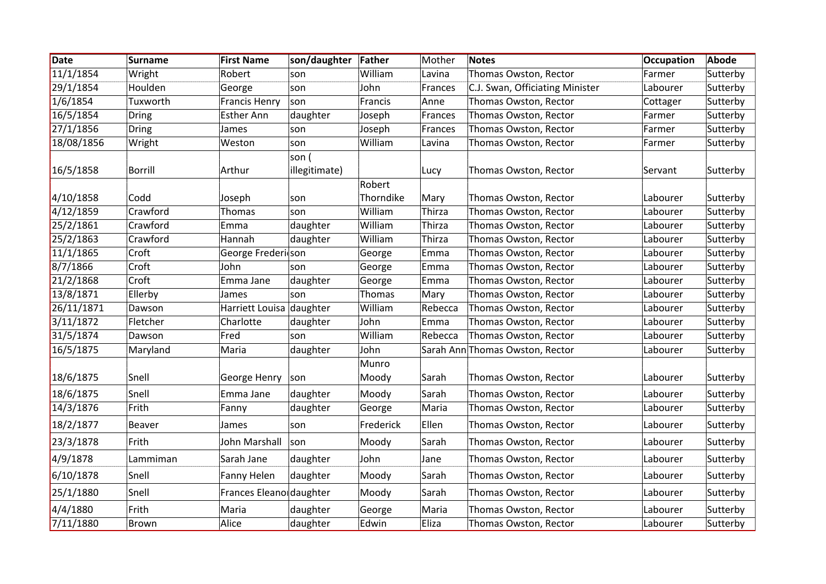| Date       | <b>Surname</b> | <b>First Name</b>        | son/daughter           | Father    | Mother  | <b>Notes</b>                    | <b>Occupation</b> | Abode    |
|------------|----------------|--------------------------|------------------------|-----------|---------|---------------------------------|-------------------|----------|
| 11/1/1854  | Wright         | Robert                   | son                    | William   | Lavina  | Thomas Owston, Rector           | Farmer            | Sutterby |
| 29/1/1854  | Houlden        | George                   | son                    | John      | Frances | C.J. Swan, Officiating Minister | Labourer          | Sutterby |
| 1/6/1854   | Tuxworth       | <b>Francis Henry</b>     | son                    | Francis   | Anne    | Thomas Owston, Rector           | Cottager          | Sutterby |
| 16/5/1854  | Dring          | <b>Esther Ann</b>        | daughter               | Joseph    | Frances | Thomas Owston, Rector           | Farmer            | Sutterby |
| 27/1/1856  | <b>Dring</b>   | James                    | son                    | Joseph    | Frances | Thomas Owston, Rector           | Farmer            | Sutterby |
| 18/08/1856 | Wright         | Weston                   | son                    | William   | Lavina  | Thomas Owston, Rector           | Farmer            | Sutterby |
| 16/5/1858  | <b>Borrill</b> | Arthur                   | son (<br>illegitimate) |           | Lucy    | Thomas Owston, Rector           | Servant           | Sutterby |
|            |                |                          |                        | Robert    |         |                                 |                   |          |
| 4/10/1858  | Codd           | Joseph                   | son                    | Thorndike | Mary    | Thomas Owston, Rector           | Labourer          | Sutterby |
| 4/12/1859  | Crawford       | Thomas                   | son                    | William   | Thirza  | Thomas Owston, Rector           | Labourer          | Sutterby |
| 25/2/1861  | Crawford       | Emma                     | daughter               | William   | Thirza  | Thomas Owston, Rector           | Labourer          | Sutterby |
| 25/2/1863  | Crawford       | Hannah                   | daughter               | William   | Thirza  | Thomas Owston, Rector           | Labourer          | Sutterby |
| 11/1/1865  | Croft          | George Frederi son       |                        | George    | Emma    | Thomas Owston, Rector           | Labourer          | Sutterby |
| 8/7/1866   | Croft          | John                     | son                    | George    | Emma    | Thomas Owston, Rector           | Labourer          | Sutterby |
| 21/2/1868  | Croft          | Emma Jane                | daughter               | George    | Emma    | Thomas Owston, Rector           | Labourer          | Sutterby |
| 13/8/1871  | Ellerby        | James                    | son                    | Thomas    | Mary    | Thomas Owston, Rector           | Labourer          | Sutterby |
| 26/11/1871 | Dawson         | Harriett Louisa daughter |                        | William   | Rebecca | Thomas Owston, Rector           | Labourer          | Sutterby |
| 3/11/1872  | Fletcher       | Charlotte                | daughter               | John      | Emma    | Thomas Owston, Rector           | Labourer          | Sutterby |
| 31/5/1874  | Dawson         | Fred                     | son                    | William   | Rebecca | Thomas Owston, Rector           | Labourer          | Sutterby |
| 16/5/1875  | Maryland       | Maria                    | daughter               | John      |         | Sarah Ann Thomas Owston, Rector | Labourer          | Sutterby |
|            |                |                          |                        | Munro     |         |                                 |                   |          |
| 18/6/1875  | Snell          | George Henry             | son                    | Moody     | Sarah   | Thomas Owston, Rector           | Labourer          | Sutterby |
| 18/6/1875  | Snell          | Emma Jane                | daughter               | Moody     | Sarah   | Thomas Owston, Rector           | Labourer          | Sutterby |
| 14/3/1876  | Frith          | Fanny                    | daughter               | George    | Maria   | Thomas Owston, Rector           | Labourer          | Sutterby |
| 18/2/1877  | <b>Beaver</b>  | James                    | son                    | Frederick | Ellen   | Thomas Owston, Rector           | Labourer          | Sutterby |
| 23/3/1878  | Frith          | John Marshall            | son                    | Moody     | Sarah   | Thomas Owston, Rector           | Labourer          | Sutterby |
| 4/9/1878   | Lammiman       | Sarah Jane               | daughter               | John      | Jane    | Thomas Owston, Rector           | Labourer          | Sutterby |
| 6/10/1878  | Snell          | Fanny Helen              | daughter               | Moody     | Sarah   | Thomas Owston, Rector           | Labourer          | Sutterby |
| 25/1/1880  | Snell          | Frances Eleano daughter  |                        | Moody     | Sarah   | Thomas Owston, Rector           | Labourer          | Sutterby |
| 4/4/1880   | Frith          | Maria                    | daughter               | George    | Maria   | Thomas Owston, Rector           | Labourer          | Sutterby |
| 7/11/1880  | Brown          | Alice                    | daughter               | Edwin     | Eliza   | Thomas Owston, Rector           | Labourer          | Sutterby |